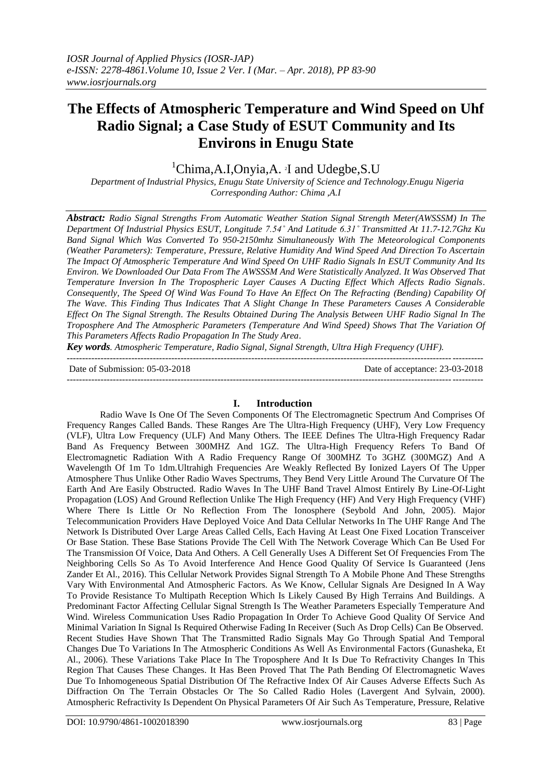# **The Effects of Atmospheric Temperature and Wind Speed on Uhf Radio Signal; a Case Study of ESUT Community and Its Environs in Enugu State**

<sup>1</sup>Chima,A.I,Onyia,A. <sup>2</sup>I and Udegbe,S.U

*Department of Industrial Physics, Enugu State University of Science and Technology.Enugu Nigeria Corresponding Author: Chima ,A.I* 

*Abstract: Radio Signal Strengths From Automatic Weather Station Signal Strength Meter(AWSSSM) In The Department Of Industrial Physics ESUT, Longitude 7.54˚ And Latitude 6.31˚ Transmitted At 11.7-12.7Ghz Ku Band Signal Which Was Converted To 950-2150mhz Simultaneously With The Meteorological Components (Weather Parameters): Temperature, Pressure, Relative Humidity And Wind Speed And Direction To Ascertain The Impact Of Atmospheric Temperature And Wind Speed On UHF Radio Signals In ESUT Community And Its Environ. We Downloaded Our Data From The AWSSSM And Were Statistically Analyzed. It Was Observed That Temperature Inversion In The Tropospheric Layer Causes A Ducting Effect Which Affects Radio Signals. Consequently, The Speed Of Wind Was Found To Have An Effect On The Refracting (Bending) Capability Of The Wave. This Finding Thus Indicates That A Slight Change In These Parameters Causes A Considerable Effect On The Signal Strength. The Results Obtained During The Analysis Between UHF Radio Signal In The Troposphere And The Atmospheric Parameters (Temperature And Wind Speed) Shows That The Variation Of This Parameters Affects Radio Propagation In The Study Area.*

*Key words. Atmospheric Temperature, Radio Signal, Signal Strength, Ultra High Frequency (UHF).* ---------------------------------------------------------------------------------------------------------------------------------------

Date of Submission: 05-03-2018 Date of acceptance: 23-03-2018

---------------------------------------------------------------------------------------------------------------------------------------

## **I. Introduction**

Radio Wave Is One Of The Seven Components Of The Electromagnetic Spectrum And Comprises Of Frequency Ranges Called Bands. These Ranges Are The Ultra-High Frequency (UHF), Very Low Frequency (VLF), Ultra Low Frequency (ULF) And Many Others. The IEEE Defines The Ultra-High Frequency Radar Band As Frequency Between 300MHZ And 1GZ. The Ultra-High Frequency Refers To Band Of Electromagnetic Radiation With A Radio Frequency Range Of 300MHZ To 3GHZ (300MGZ) And A Wavelength Of 1m To 1dm.Ultrahigh Frequencies Are Weakly Reflected By Ionized Layers Of The Upper Atmosphere Thus Unlike Other Radio Waves Spectrums, They Bend Very Little Around The Curvature Of The Earth And Are Easily Obstructed. Radio Waves In The UHF Band Travel Almost Entirely By Line-Of-Light Propagation (LOS) And Ground Reflection Unlike The High Frequency (HF) And Very High Frequency (VHF) Where There Is Little Or No Reflection From The Ionosphere (Seybold And John, 2005). Major Telecommunication Providers Have Deployed Voice And Data Cellular Networks In The UHF Range And The Network Is Distributed Over Large Areas Called Cells, Each Having At Least One Fixed Location Transceiver Or Base Station. These Base Stations Provide The Cell With The Network Coverage Which Can Be Used For The Transmission Of Voice, Data And Others. A Cell Generally Uses A Different Set Of Frequencies From The Neighboring Cells So As To Avoid Interference And Hence Good Quality Of Service Is Guaranteed (Jens Zander Et Al., 2016). This Cellular Network Provides Signal Strength To A Mobile Phone And These Strengths Vary With Environmental And Atmospheric Factors. As We Know, Cellular Signals Are Designed In A Way To Provide Resistance To Multipath Reception Which Is Likely Caused By High Terrains And Buildings. A Predominant Factor Affecting Cellular Signal Strength Is The Weather Parameters Especially Temperature And Wind. Wireless Communication Uses Radio Propagation In Order To Achieve Good Quality Of Service And Minimal Variation In Signal Is Required Otherwise Fading In Receiver (Such As Drop Cells) Can Be Observed. Recent Studies Have Shown That The Transmitted Radio Signals May Go Through Spatial And Temporal Changes Due To Variations In The Atmospheric Conditions As Well As Environmental Factors (Gunasheka, Et Al., 2006). These Variations Take Place In The Troposphere And It Is Due To Refractivity Changes In This Region That Causes These Changes. It Has Been Proved That The Path Bending Of Electromagnetic Waves Due To Inhomogeneous Spatial Distribution Of The Refractive Index Of Air Causes Adverse Effects Such As Diffraction On The Terrain Obstacles Or The So Called Radio Holes (Lavergent And Sylvain, 2000). Atmospheric Refractivity Is Dependent On Physical Parameters Of Air Such As Temperature, Pressure, Relative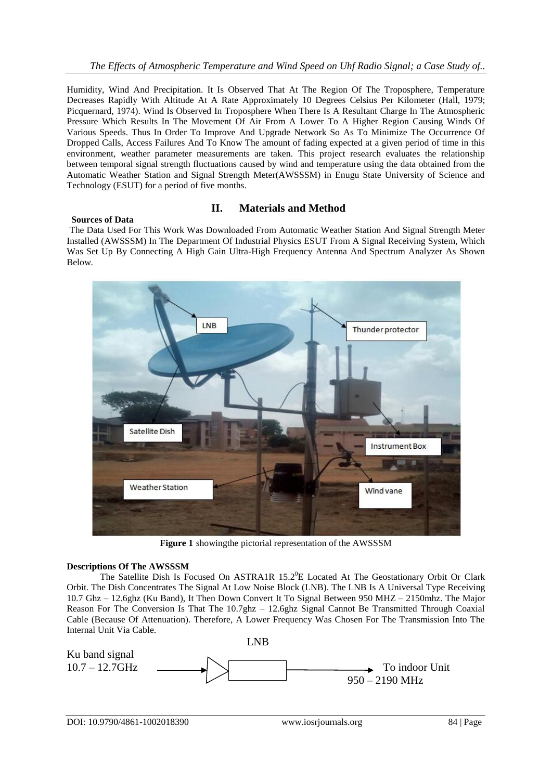Humidity, Wind And Precipitation. It Is Observed That At The Region Of The Troposphere, Temperature Decreases Rapidly With Altitude At A Rate Approximately 10 Degrees Celsius Per Kilometer (Hall, 1979; Picquernard, 1974). Wind Is Observed In Troposphere When There Is A Resultant Charge In The Atmospheric Pressure Which Results In The Movement Of Air From A Lower To A Higher Region Causing Winds Of Various Speeds. Thus In Order To Improve And Upgrade Network So As To Minimize The Occurrence Of Dropped Calls, Access Failures And To Know The amount of fading expected at a given period of time in this environment, weather parameter measurements are taken. This project research evaluates the relationship between temporal signal strength fluctuations caused by wind and temperature using the data obtained from the Automatic Weather Station and Signal Strength Meter(AWSSSM) in Enugu State University of Science and Technology (ESUT) for a period of five months.

## **Sources of Data**

## **II. Materials and Method**

The Data Used For This Work Was Downloaded From Automatic Weather Station And Signal Strength Meter Installed (AWSSSM) In The Department Of Industrial Physics ESUT From A Signal Receiving System, Which Was Set Up By Connecting A High Gain Ultra-High Frequency Antenna And Spectrum Analyzer As Shown Below.



**Figure 1** showingthe pictorial representation of the AWSSSM

## **Descriptions Of The AWSSSM**

The Satellite Dish Is Focused On ASTRA1R 15.2<sup>0</sup>E Located At The Geostationary Orbit Or Clark Orbit. The Dish Concentrates The Signal At Low Noise Block (LNB). The LNB Is A Universal Type Receiving 10.7 Ghz – 12.6ghz (Ku Band), It Then Down Convert It To Signal Between 950 MHZ – 2150mhz. The Major Reason For The Conversion Is That The 10.7ghz – 12.6ghz Signal Cannot Be Transmitted Through Coaxial Cable (Because Of Attenuation). Therefore, A Lower Frequency Was Chosen For The Transmission Into The Internal Unit Via Cable.

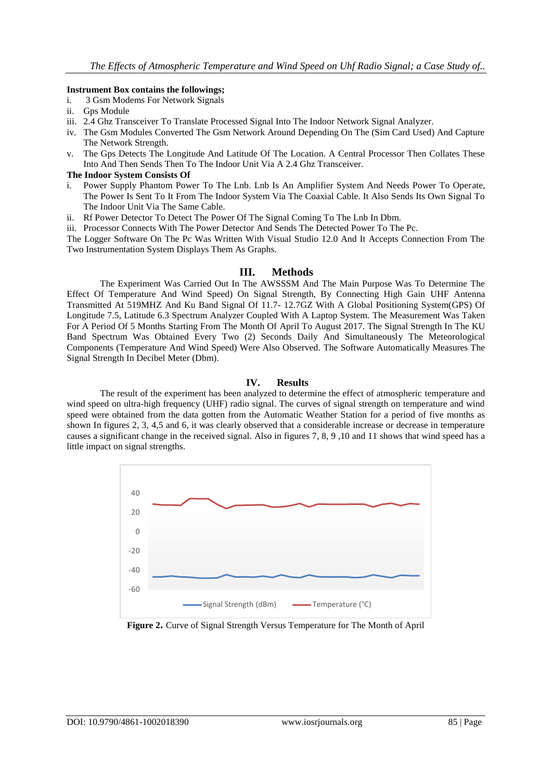#### **Instrument Box contains the followings;**

- i. 3 Gsm Modems For Network Signals
- ii. Gps Module
- iii. 2.4 Ghz Transceiver To Translate Processed Signal Into The Indoor Network Signal Analyzer.
- iv. The Gsm Modules Converted The Gsm Network Around Depending On The (Sim Card Used) And Capture The Network Strength.
- v. The Gps Detects The Longitude And Latitude Of The Location. A Central Processor Then Collates These Into And Then Sends Then To The Indoor Unit Via A 2.4 Ghz Transceiver.

#### **The Indoor System Consists Of**

- i. Power Supply Phantom Power To The Lnb. Lnb Is An Amplifier System And Needs Power To Operate, The Power Is Sent To It From The Indoor System Via The Coaxial Cable. It Also Sends Its Own Signal To The Indoor Unit Via The Same Cable.
- ii. Rf Power Detector To Detect The Power Of The Signal Coming To The Lnb In Dbm.

iii. Processor Connects With The Power Detector And Sends The Detected Power To The Pc.

The Logger Software On The Pc Was Written With Visual Studio 12.0 And It Accepts Connection From The Two Instrumentation System Displays Them As Graphs.

## **III. Methods**

The Experiment Was Carried Out In The AWSSSM And The Main Purpose Was To Determine The Effect Of Temperature And Wind Speed) On Signal Strength, By Connecting High Gain UHF Antenna Transmitted At 519MHZ And Ku Band Signal Of 11.7- 12.7GZ With A Global Positioning System(GPS) Of Longitude 7.5, Latitude 6.3 Spectrum Analyzer Coupled With A Laptop System. The Measurement Was Taken For A Period Of 5 Months Starting From The Month Of April To August 2017. The Signal Strength In The KU Band Spectrum Was Obtained Every Two (2) Seconds Daily And Simultaneously The Meteorological Components (Temperature And Wind Speed) Were Also Observed. The Software Automatically Measures The Signal Strength In Decibel Meter (Dbm).

## **IV. Results**

The result of the experiment has been analyzed to determine the effect of atmospheric temperature and wind speed on ultra-high frequency (UHF) radio signal. The curves of signal strength on temperature and wind speed were obtained from the data gotten from the Automatic Weather Station for a period of five months as shown In figures 2, 3, 4,5 and 6, it was clearly observed that a considerable increase or decrease in temperature causes a significant change in the received signal. Also in figures 7, 8, 9 ,10 and 11 shows that wind speed has a little impact on signal strengths.



**Figure 2.** Curve of Signal Strength Versus Temperature for The Month of April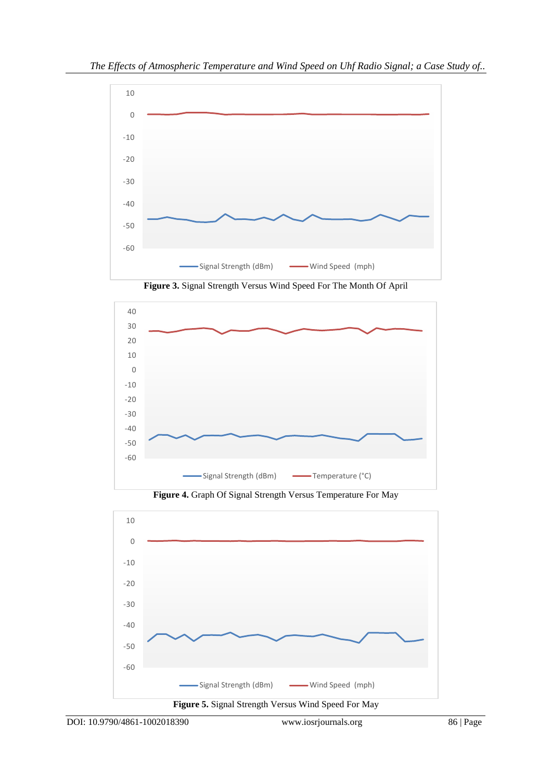

**Figure 3.** Signal Strength Versus Wind Speed For The Month Of April



**Figure 4.** Graph Of Signal Strength Versus Temperature For May

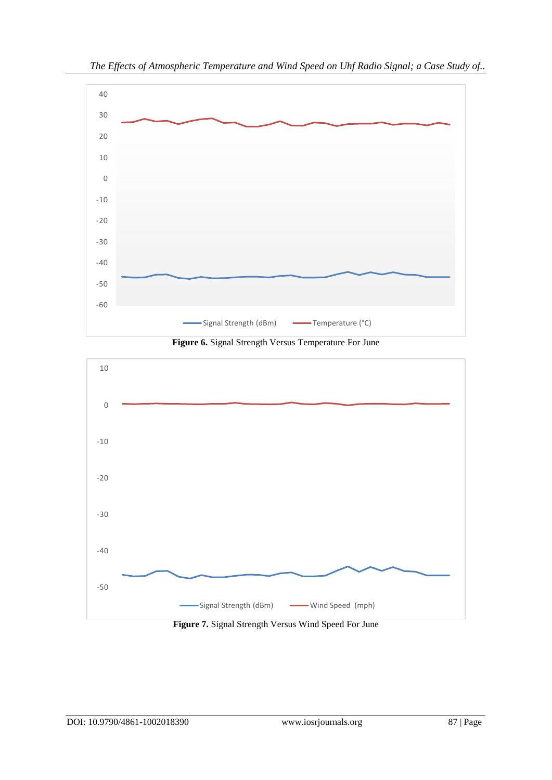

*The Effects of Atmospheric Temperature and Wind Speed on Uhf Radio Signal; a Case Study of..*





**Figure 7.** Signal Strength Versus Wind Speed For June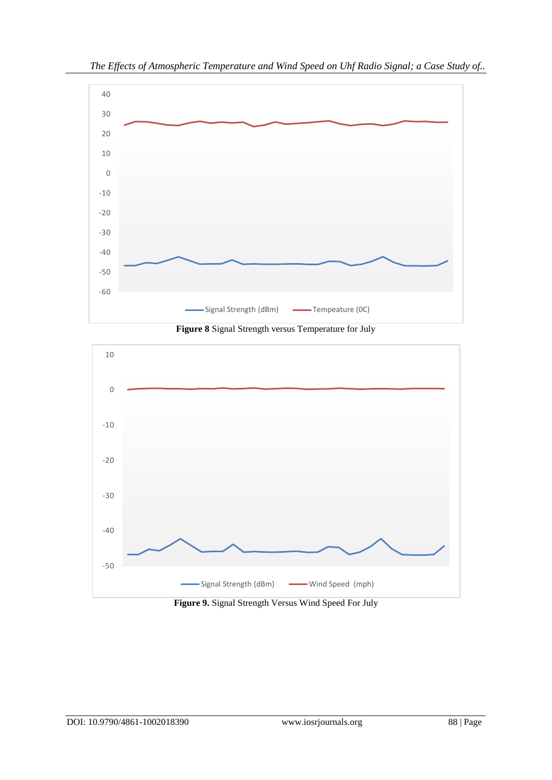

**Figure 8** Signal Strength versus Temperature for July



**Figure 9.** Signal Strength Versus Wind Speed For July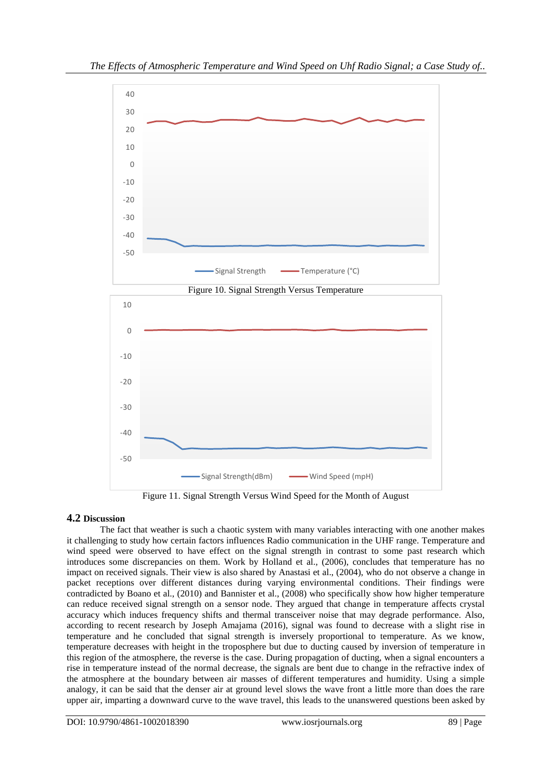

Figure 11. Signal Strength Versus Wind Speed for the Month of August

## **4.2 Discussion**

The fact that weather is such a chaotic system with many variables interacting with one another makes it challenging to study how certain factors influences Radio communication in the UHF range. Temperature and wind speed were observed to have effect on the signal strength in contrast to some past research which introduces some discrepancies on them. Work by Holland et al., (2006), concludes that temperature has no impact on received signals. Their view is also shared by Anastasi et al., (2004), who do not observe a change in packet receptions over different distances during varying environmental conditions. Their findings were contradicted by Boano et al., (2010) and Bannister et al., (2008) who specifically show how higher temperature can reduce received signal strength on a sensor node. They argued that change in temperature affects crystal accuracy which induces frequency shifts and thermal transceiver noise that may degrade performance. Also, according to recent research by Joseph Amajama (2016), signal was found to decrease with a slight rise in temperature and he concluded that signal strength is inversely proportional to temperature. As we know, temperature decreases with height in the troposphere but due to ducting caused by inversion of temperature in this region of the atmosphere, the reverse is the case. During propagation of ducting, when a signal encounters a rise in temperature instead of the normal decrease, the signals are bent due to change in the refractive index of the atmosphere at the boundary between air masses of different temperatures and humidity. Using a simple analogy, it can be said that the denser air at ground level slows the wave front a little more than does the rare upper air, imparting a downward curve to the wave travel, this leads to the unanswered questions been asked by